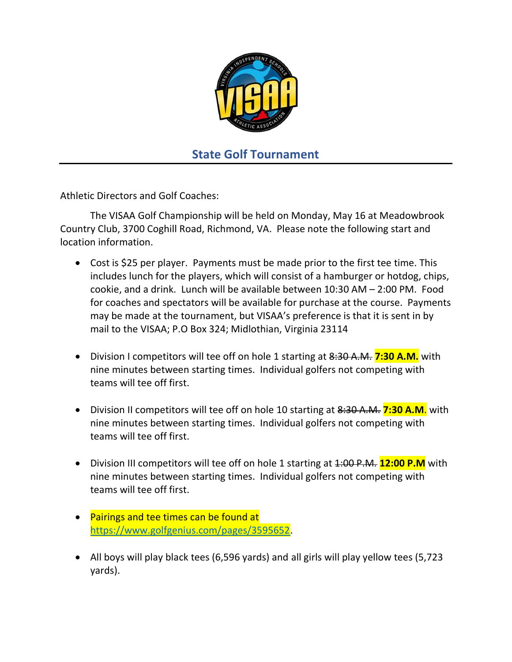

## State Golf Tournament

Athletic Directors and Golf Coaches:

 The VISAA Golf Championship will be held on Monday, May 16 at Meadowbrook Country Club, 3700 Coghill Road, Richmond, VA. Please note the following start and location information.

- Cost is \$25 per player. Payments must be made prior to the first tee time. This includes lunch for the players, which will consist of a hamburger or hotdog, chips, cookie, and a drink. Lunch will be available between 10:30 AM – 2:00 PM. Food for coaches and spectators will be available for purchase at the course. Payments may be made at the tournament, but VISAA's preference is that it is sent in by mail to the VISAA; P.O Box 324; Midlothian, Virginia 23114
- Division I competitors will tee off on hole 1 starting at 8:30 A.M. 7:30 A.M. with nine minutes between starting times. Individual golfers not competing with teams will tee off first.
- Division II competitors will tee off on hole 10 starting at 8:30 A.M. 7:30 A.M. with nine minutes between starting times. Individual golfers not competing with teams will tee off first.
- Division III competitors will tee off on hole 1 starting at 1:00 P.M. **12:00 P.M** with nine minutes between starting times. Individual golfers not competing with teams will tee off first.
- Pairings and tee times can be found at https://www.golfgenius.com/pages/3595652.
- All boys will play black tees (6,596 yards) and all girls will play yellow tees (5,723 yards).